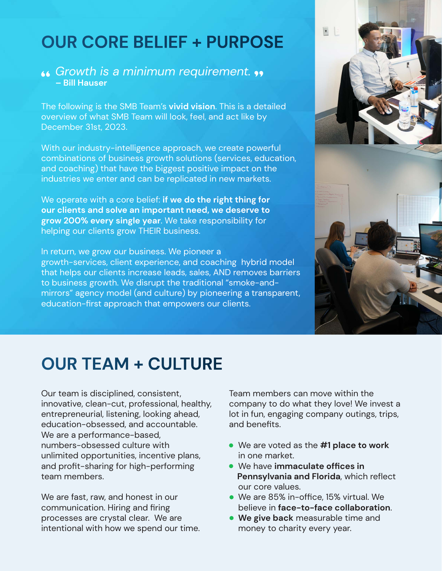### **OUR CORE BELIEF + PURPOSE**

### *Growth is a minimum requirement.*  **– Bill Hauser**

The following is the SMB Team's **vivid vision**. This is a detailed overview of what SMB Team will look, feel, and act like by December 31st, 2023.

With our industry-intelligence approach, we create powerful combinations of business growth solutions (services, education, and coaching) that have the biggest positive impact on the industries we enter and can be replicated in new markets.

We operate with a core belief: **if we do the right thing for our clients and solve an important need, we deserve to grow 200% every single year**. We take responsibility for helping our clients grow THEIR business.

In return, we grow our business. We pioneer a growth-services, client experience, and coaching hybrid model that helps our clients increase leads, sales, AND removes barriers to business growth. We disrupt the traditional "smoke-andmirrors" agency model (and culture) by pioneering a transparent, education-first approach that empowers our clients.



# **OUR TEAM + CULTURE**

Our team is disciplined, consistent, innovative, clean-cut, professional, healthy, entrepreneurial, listening, looking ahead, education-obsessed, and accountable. We are a performance-based, numbers-obsessed culture with unlimited opportunities, incentive plans, and profit-sharing for high-performing team members.

We are fast, raw, and honest in our communication. Hiring and firing processes are crystal clear. We are intentional with how we spend our time. Team members can move within the company to do what they love! We invest a lot in fun, engaging company outings, trips, and benefits.

- We are voted as the **#1 place to work** in one market.
- We have **immaculate offices in Pennsylvania and Florida**, which reflect our core values.
- We are 85% in-office, 15% virtual. We believe in **face-to-face collaboration**.
- **We give back** measurable time and money to charity every year.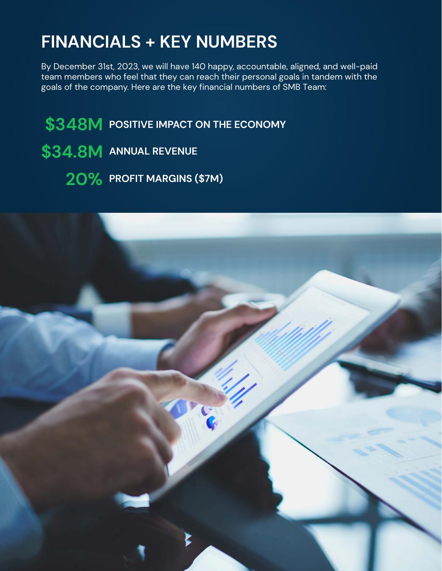# **FINANCIALS + KEY NUMBERS**

By December 31st, 2023, we will have 140 happy, accountable, aligned, and well-paid team members who feel that they can reach their personal goals in tandem with the goals of the company. Here are the key financial numbers of SMB Team:

**\$348M POSITIVE IMPACT ON THE ECONOMY \$34.8M ANNUAL REVENUE 20% PROFIT MARGINS (\$7M)**

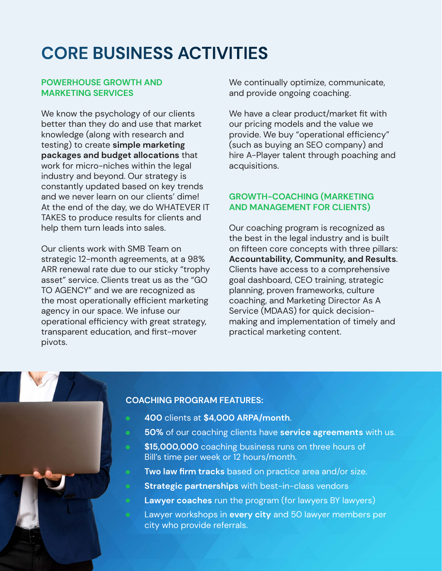# **CORE BUSINESS ACTIVITIES**

### **POWERHOUSE GROWTH AND MARKETING SERVICES**

We know the psychology of our clients better than they do and use that market knowledge (along with research and testing) to create **simple marketing packages and budget allocations** that work for micro-niches within the legal industry and beyond. Our strategy is constantly updated based on key trends and we never learn on our clients' dime! At the end of the day, we do WHATEVER IT TAKES to produce results for clients and help them turn leads into sales.

Our clients work with SMB Team on strategic 12-month agreements, at a 98% ARR renewal rate due to our sticky "trophy asset" service. Clients treat us as the "GO TO AGENCY" and we are recognized as the most operationally efficient marketing agency in our space. We infuse our operational efficiency with great strategy, transparent education, and first-mover pivots.

We continually optimize, communicate, and provide ongoing coaching.

We have a clear product/market fit with our pricing models and the value we provide. We buy "operational efficiency" (such as buying an SEO company) and hire A-Player talent through poaching and acquisitions.

### **GROWTH-COACHING (MARKETING AND MANAGEMENT FOR CLIENTS)**

Our coaching program is recognized as the best in the legal industry and is built on fifteen core concepts with three pillars: **Accountability, Community, and Results**. Clients have access to a comprehensive goal dashboard, CEO training, strategic planning, proven frameworks, culture coaching, and Marketing Director As A Service (MDAAS) for quick decisionmaking and implementation of timely and practical marketing content.

### **COACHING PROGRAM FEATURES:**

- **400** clients at **\$4,000 ARPA/month**.
- **50%** of our coaching clients have **service agreements** with us.
- **\$15,000,000** coaching business runs on three hours of Bill's time per week or 12 hours/month.
- **Two law firm tracks** based on practice area and/or size.
- **Strategic partnerships** with best-in-class vendors
- **Lawyer coaches** run the program (for lawyers BY lawyers)
- Lawyer workshops in **every city** and 50 lawyer members per city who provide referrals.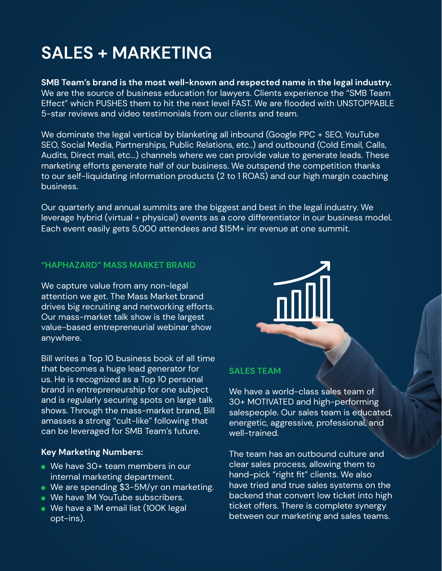# **SALES + MARKETING**

**SMB Team's brand is the most well-known and respected name in the legal industry.** We are the source of business education for lawyers. Clients experience the "SMB Team Effect" which PUSHES them to hit the next level FAST. We are flooded with UNSTOPPABLE 5-star reviews and video testimonials from our clients and team.

We dominate the legal vertical by blanketing all inbound (Google PPC + SEO, YouTube SEO, Social Media, Partnerships, Public Relations, etc..) and outbound (Cold Email, Calls, Audits, Direct mail, etc...) channels where we can provide value to generate leads. These marketing efforts generate half of our business. We outspend the competition thanks to our self-liquidating information products (2 to 1 ROAS) and our high margin coaching business.

Our quarterly and annual summits are the biggest and best in the legal industry. We leverage hybrid (virtual + physical) events as a core differentiator in our business model. Each event easily gets 5,000 attendees and \$15M+ inr evenue at one summit.

### **"HAPHAZARD" MASS MARKET BRAND**

We capture value from any non-legal attention we get. The Mass Market brand drives big recruiting and networking efforts. Our mass-market talk show is the largest value-based entrepreneurial webinar show anywhere.

Bill writes a Top 10 business book of all time that becomes a huge lead generator for us. He is recognized as a Top 10 personal brand in entrepreneurship for one subject and is regularly securing spots on large talk shows. Through the mass-market brand, Bill amasses a strong "cult-like" following that can be leveraged for SMB Team's future.

#### **Key Marketing Numbers:**

- We have 30+ team members in our internal marketing department.
- We are spending \$3-5M/yr on marketing.
- We have 1M YouTube subscribers.
- We have a 1M email list (100K legal opt-ins).



### **SALES TEAM**

We have a world-class sales team of 30+ MOTIVATED and high-performing salespeople. Our sales team is educated, energetic, aggressive, professional, and well-trained.

The team has an outbound culture and clear sales process, allowing them to hand-pick "right fit" clients. We also have tried and true sales systems on the backend that convert low ticket into high ticket offers. There is complete synergy between our marketing and sales teams.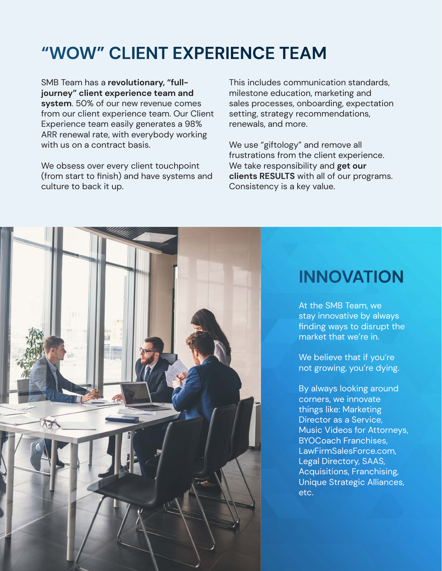# **"WOW" CLIENT EXPERIENCE TEAM**

SMB Team has a **revolutionary, "fulljourney" client experience team and system**. 50% of our new revenue comes from our client experience team. Our Client Experience team easily generates a 98% ARR renewal rate, with everybody working with us on a contract basis.

We obsess over every client touchpoint (from start to finish) and have systems and culture to back it up.

This includes communication standards, milestone education, marketing and sales processes, onboarding, expectation setting, strategy recommendations, renewals, and more.

We use "giftology" and remove all frustrations from the client experience. We take responsibility and **get our clients RESULTS** with all of our programs. Consistency is a key value.



### **INNOVATION**

At the SMB Team, we stay innovative by always finding ways to disrupt the market that we're in.

We believe that if you're not growing, you're dying.

By always looking around corners, we innovate things like: Marketing Director as a Service, Music Videos for Attorneys, BYOCoach Franchises, LawFirmSalesForce.com, Legal Directory, SAAS, Acquisitions, Franchising, Unique Strategic Alliances, etc.